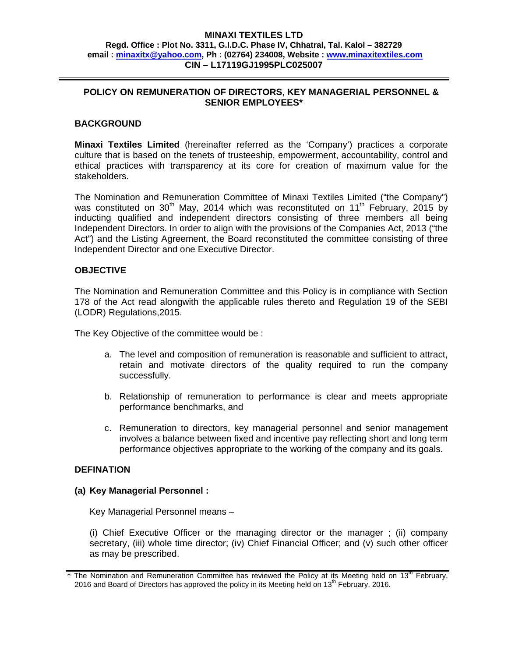#### **MINAXI TEXTILES LTD Regd. Office : Plot No. 3311, G.I.D.C. Phase IV, Chhatral, Tal. Kalol – 382729 email : minaxitx@yahoo.com, Ph : (02764) 234008, Website : www.minaxitextiles.com CIN – L17119GJ1995PLC025007**

### **POLICY ON REMUNERATION OF DIRECTORS, KEY MANAGERIAL PERSONNEL & SENIOR EMPLOYEES\***

# **BACKGROUND**

**Minaxi Textiles Limited** (hereinafter referred as the 'Company') practices a corporate culture that is based on the tenets of trusteeship, empowerment, accountability, control and ethical practices with transparency at its core for creation of maximum value for the stakeholders.

The Nomination and Remuneration Committee of Minaxi Textiles Limited ("the Company") was constituted on 30<sup>th</sup> May, 2014 which was reconstituted on 11<sup>th</sup> February, 2015 by inducting qualified and independent directors consisting of three members all being Independent Directors. In order to align with the provisions of the Companies Act, 2013 ("the Act") and the Listing Agreement, the Board reconstituted the committee consisting of three Independent Director and one Executive Director.

### **OBJECTIVE**

The Nomination and Remuneration Committee and this Policy is in compliance with Section 178 of the Act read alongwith the applicable rules thereto and Regulation 19 of the SEBI (LODR) Regulations,2015.

The Key Objective of the committee would be :

- a. The level and composition of remuneration is reasonable and sufficient to attract, retain and motivate directors of the quality required to run the company successfully.
- b. Relationship of remuneration to performance is clear and meets appropriate performance benchmarks, and
- c. Remuneration to directors, key managerial personnel and senior management involves a balance between fixed and incentive pay reflecting short and long term performance objectives appropriate to the working of the company and its goals.

### **DEFINATION**

### **(a) Key Managerial Personnel :**

Key Managerial Personnel means –

(i) Chief Executive Officer or the managing director or the manager ; (ii) company secretary, (iii) whole time director; (iv) Chief Financial Officer; and (v) such other officer as may be prescribed.

 $*$  The Nomination and Remuneration Committee has reviewed the Policy at its Meeting held on 13<sup>th</sup> February, 2016 and Board of Directors has approved the policy in its Meeting held on  $13<sup>th</sup>$  February, 2016.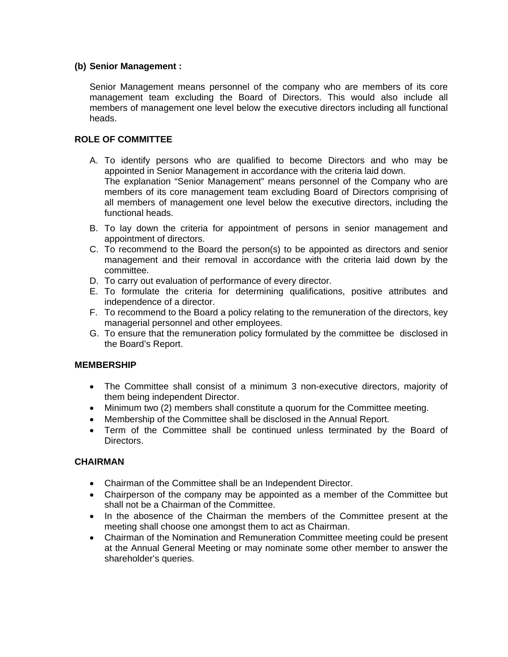# **(b) Senior Management :**

Senior Management means personnel of the company who are members of its core management team excluding the Board of Directors. This would also include all members of management one level below the executive directors including all functional heads.

# **ROLE OF COMMITTEE**

- A. To identify persons who are qualified to become Directors and who may be appointed in Senior Management in accordance with the criteria laid down. The explanation "Senior Management" means personnel of the Company who are members of its core management team excluding Board of Directors comprising of all members of management one level below the executive directors, including the functional heads.
- B. To lay down the criteria for appointment of persons in senior management and appointment of directors.
- C. To recommend to the Board the person(s) to be appointed as directors and senior management and their removal in accordance with the criteria laid down by the committee.
- D. To carry out evaluation of performance of every director.
- E. To formulate the criteria for determining qualifications, positive attributes and independence of a director.
- F. To recommend to the Board a policy relating to the remuneration of the directors, key managerial personnel and other employees.
- G. To ensure that the remuneration policy formulated by the committee be disclosed in the Board's Report.

### **MEMBERSHIP**

- The Committee shall consist of a minimum 3 non-executive directors, majority of them being independent Director.
- Minimum two (2) members shall constitute a quorum for the Committee meeting.
- Membership of the Committee shall be disclosed in the Annual Report.
- Term of the Committee shall be continued unless terminated by the Board of Directors.

# **CHAIRMAN**

- Chairman of the Committee shall be an Independent Director.
- Chairperson of the company may be appointed as a member of the Committee but shall not be a Chairman of the Committee.
- In the abosence of the Chairman the members of the Committee present at the meeting shall choose one amongst them to act as Chairman.
- Chairman of the Nomination and Remuneration Committee meeting could be present at the Annual General Meeting or may nominate some other member to answer the shareholder's queries.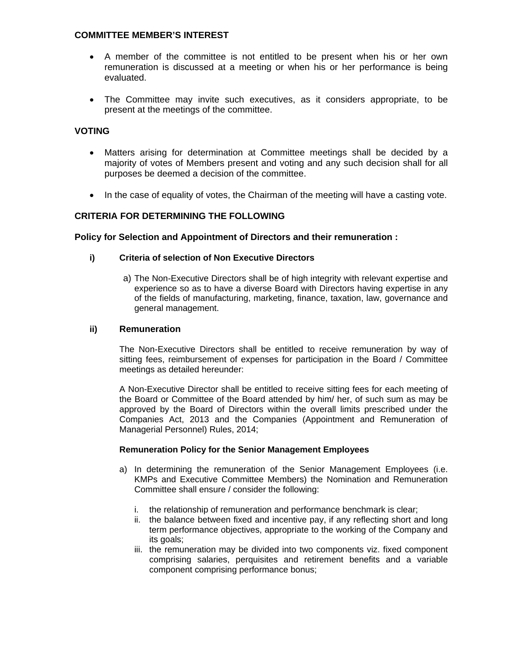### **COMMITTEE MEMBER'S INTEREST**

- A member of the committee is not entitled to be present when his or her own remuneration is discussed at a meeting or when his or her performance is being evaluated.
- The Committee may invite such executives, as it considers appropriate, to be present at the meetings of the committee.

### **VOTING**

- Matters arising for determination at Committee meetings shall be decided by a majority of votes of Members present and voting and any such decision shall for all purposes be deemed a decision of the committee.
- In the case of equality of votes, the Chairman of the meeting will have a casting vote.

# **CRITERIA FOR DETERMINING THE FOLLOWING**

#### **Policy for Selection and Appointment of Directors and their remuneration :**

### **i) Criteria of selection of Non Executive Directors**

a) The Non-Executive Directors shall be of high integrity with relevant expertise and experience so as to have a diverse Board with Directors having expertise in any of the fields of manufacturing, marketing, finance, taxation, law, governance and general management.

#### **ii) Remuneration**

The Non-Executive Directors shall be entitled to receive remuneration by way of sitting fees, reimbursement of expenses for participation in the Board / Committee meetings as detailed hereunder:

A Non-Executive Director shall be entitled to receive sitting fees for each meeting of the Board or Committee of the Board attended by him/ her, of such sum as may be approved by the Board of Directors within the overall limits prescribed under the Companies Act, 2013 and the Companies (Appointment and Remuneration of Managerial Personnel) Rules, 2014;

#### **Remuneration Policy for the Senior Management Employees**

- a) In determining the remuneration of the Senior Management Employees (i.e. KMPs and Executive Committee Members) the Nomination and Remuneration Committee shall ensure / consider the following:
	- i. the relationship of remuneration and performance benchmark is clear;
	- ii. the balance between fixed and incentive pay, if any reflecting short and long term performance objectives, appropriate to the working of the Company and its goals:
	- iii. the remuneration may be divided into two components viz. fixed component comprising salaries, perquisites and retirement benefits and a variable component comprising performance bonus;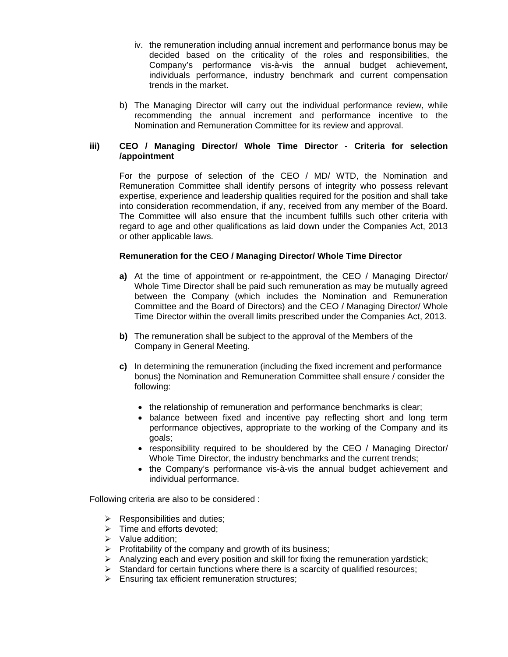- iv. the remuneration including annual increment and performance bonus may be decided based on the criticality of the roles and responsibilities, the Company's performance vis-à-vis the annual budget achievement, individuals performance, industry benchmark and current compensation trends in the market.
- b) The Managing Director will carry out the individual performance review, while recommending the annual increment and performance incentive to the Nomination and Remuneration Committee for its review and approval.

### **iii) CEO / Managing Director/ Whole Time Director - Criteria for selection /appointment**

For the purpose of selection of the CEO / MD/ WTD, the Nomination and Remuneration Committee shall identify persons of integrity who possess relevant expertise, experience and leadership qualities required for the position and shall take into consideration recommendation, if any, received from any member of the Board. The Committee will also ensure that the incumbent fulfills such other criteria with regard to age and other qualifications as laid down under the Companies Act, 2013 or other applicable laws.

### **Remuneration for the CEO / Managing Director/ Whole Time Director**

- **a)** At the time of appointment or re-appointment, the CEO / Managing Director/ Whole Time Director shall be paid such remuneration as may be mutually agreed between the Company (which includes the Nomination and Remuneration Committee and the Board of Directors) and the CEO / Managing Director/ Whole Time Director within the overall limits prescribed under the Companies Act, 2013.
- **b)** The remuneration shall be subject to the approval of the Members of the Company in General Meeting.
- **c)** In determining the remuneration (including the fixed increment and performance bonus) the Nomination and Remuneration Committee shall ensure / consider the following:
	- the relationship of remuneration and performance benchmarks is clear;
	- balance between fixed and incentive pay reflecting short and long term performance objectives, appropriate to the working of the Company and its goals;
	- responsibility required to be shouldered by the CEO / Managing Director/ Whole Time Director, the industry benchmarks and the current trends;
	- the Company's performance vis-à-vis the annual budget achievement and individual performance.

Following criteria are also to be considered :

- $\triangleright$  Responsibilities and duties:
- $\triangleright$  Time and efforts devoted;
- $\triangleright$  Value addition:
- $\triangleright$  Profitability of the company and growth of its business;
- $\triangleright$  Analyzing each and every position and skill for fixing the remuneration yardstick;
- $\triangleright$  Standard for certain functions where there is a scarcity of qualified resources;
- $\triangleright$  Ensuring tax efficient remuneration structures;